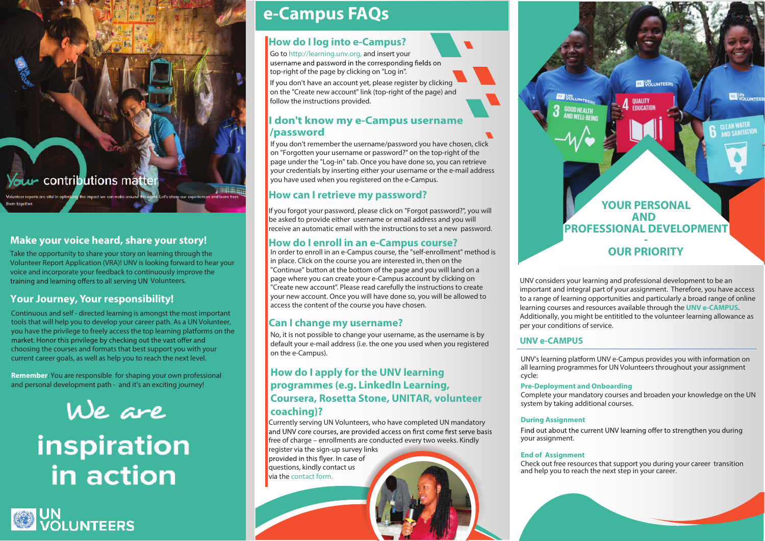u contributions matter

## **Make your voice heard, share your story!**

Take the opportunity to share your story on learning through the Volunteer Report Application (VRA)! UNV is looking forward to hear your voice and incorporate your feedback to continuously improve the training and learning offers to all serving UN Volunteers.

## **Your Journey, Your responsibility!**

Continuous and self - directed learning is amongst the most important tools that will help you to develop your career path. As a UN Volunteer, you have the privilege to freely access the top learning platforms on the market. Honor this privilege by checking out the vast offer and choosing the courses and formats that best support you with your current career goals, as well as help you to reach the next level.

**Remember**: You are responsible for shaping your own professional and personal development path - and it's an exciting journey!



# inspiration in action

**OD** UN<br>
VOLUNTEERS

## **[e-Campus FAQs](https://learning.unv.org/mod/page/view.php?id=4)**

## **How do I log into e-Campus?**

Go to [http://learning.unv.org,](http://learning.unv.org) and insert your<br>username and password in the corresponding fields on top-right of the page by clicking on "Log in".

If you don't have an account yet, please register by clicking on the "Create new account" link (top-right of the page) and follow the instructions provided.

## **I don't know my e-Campus username /password**

If you don't remember the username/password you have chosen, click on "Forgotten your username or password?" on the top-right of the page under the "Log-in" tab. Once you have done so, you can retrieve your credentials by inserting either your username or the e-mail address you have used when you registered on the e-Campus.

## **How can I retrieve my password?**

If you forgot your password, please click on "Forgot password?", you will be asked to provide either username or email address and you will receive an automatic email with the instructions to set a new password.

## **How do I enroll in an e-Campus course?**

In order to enroll in an e-Campus course, the "self-enrollment" method is in place. Click on the course you are interested in, then on the "Continue" button at the bottom of the page and you will land on a page where you can create your e-Campus account by clicking on "Create new account". Please read carefully the instructions to create your new account. Once you will have done so, you will be allowed to access the content of the course you have chosen.

## **Can I change my username?**

No, it is not possible to change your username, as the username is by default your e-mail address (i.e. the one you used when you registered on the e-Campus).

## **How do I apply for the UNV learning programmes (e.g. LinkedIn Learning, Coursera, Rosetta Stone, UNITAR, volunteer coaching)?**

Currently serving UN Volunteers, who have completed UN mandatory and UNV core courses, are provided access on first come first serve basis free of charge – enrollments are conducted every two weeks. Kindly

register via the sign-up survey links provided in this flyer. In case of questions, kindly contact us via the [contact form.](https://learning.unv.org/mod/page/view.php?id=5),)



UNV considers your learning and professional development to be an important and integral part of your assignment. Therefore, you have access to a range of learning opportunities and particularly a broad range of online learning courses and resources available through the **[UNV e-CAMPUS](https://learning.unv.org/)**. Additionally, you might be entititled to the volunteer learning allowance as per your conditions of service.

## **UNV e-CAMPUS**

UNV's learning platform UNV e-Campus provides you with information on all learning programmes for UN Volunteers throughout your assignment cycle:

#### **Pre-Deployment and Onboarding**

Complete your mandatory courses and broaden your knowledge on the UN system by taking additional courses.

#### **During Assignment**

Find out about the current UNV learning offer to strengthen you during your assignment.

#### **End of Assignment**

Check out free resources that support you during your career transition and help you to reach the next step in your career.